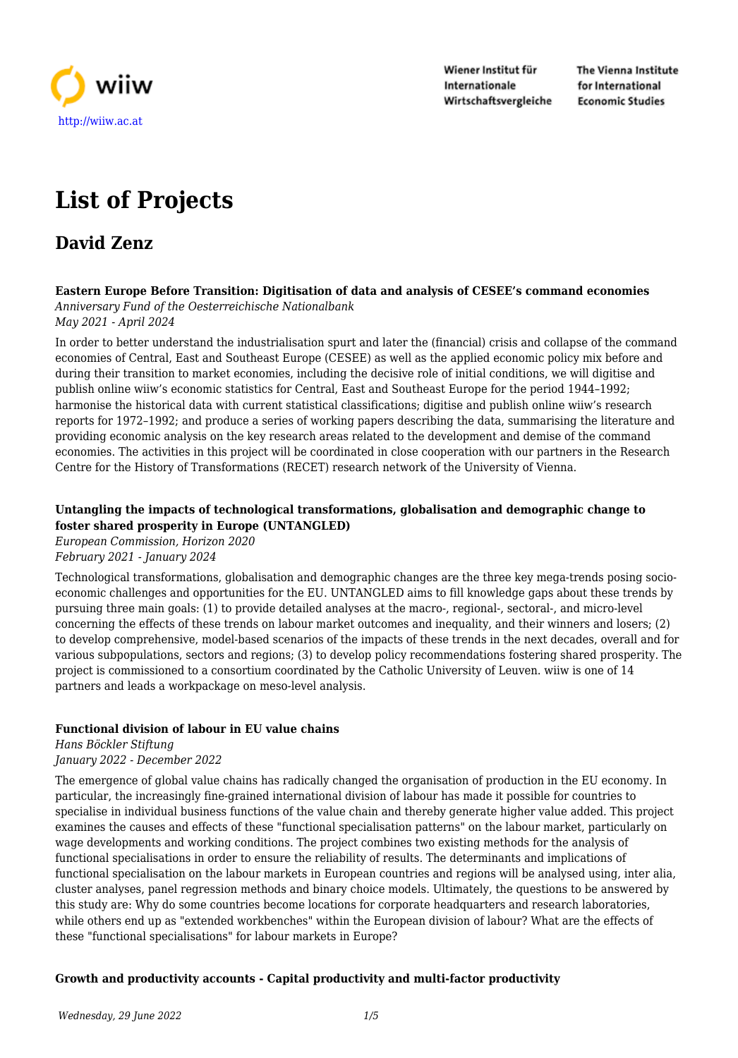

Wiener Institut für Internationale Wirtschaftsvergleiche The Vienna Institute for International **Economic Studies** 

# **List of Projects**

# **David Zenz**

#### **Eastern Europe Before Transition: Digitisation of data and analysis of CESEE's command economies** *Anniversary Fund of the Oesterreichische Nationalbank*

*May 2021 - April 2024*

In order to better understand the industrialisation spurt and later the (financial) crisis and collapse of the command economies of Central, East and Southeast Europe (CESEE) as well as the applied economic policy mix before and during their transition to market economies, including the decisive role of initial conditions, we will digitise and publish online wiiw's economic statistics for Central, East and Southeast Europe for the period 1944–1992; harmonise the historical data with current statistical classifications; digitise and publish online wiiw's research reports for 1972–1992; and produce a series of working papers describing the data, summarising the literature and providing economic analysis on the key research areas related to the development and demise of the command economies. The activities in this project will be coordinated in close cooperation with our partners in the Research Centre for the History of Transformations (RECET) research network of the University of Vienna.

### **Untangling the impacts of technological transformations, globalisation and demographic change to foster shared prosperity in Europe (UNTANGLED)**

*European Commission, Horizon 2020 February 2021 - January 2024*

Technological transformations, globalisation and demographic changes are the three key mega-trends posing socioeconomic challenges and opportunities for the EU. UNTANGLED aims to fill knowledge gaps about these trends by pursuing three main goals: (1) to provide detailed analyses at the macro-, regional-, sectoral-, and micro-level concerning the effects of these trends on labour market outcomes and inequality, and their winners and losers; (2) to develop comprehensive, model-based scenarios of the impacts of these trends in the next decades, overall and for various subpopulations, sectors and regions; (3) to develop policy recommendations fostering shared prosperity. The project is commissioned to a consortium coordinated by the Catholic University of Leuven. wiiw is one of 14 partners and leads a workpackage on meso-level analysis.

# **Functional division of labour in EU value chains**

*Hans Böckler Stiftung January 2022 - December 2022*

The emergence of global value chains has radically changed the organisation of production in the EU economy. In particular, the increasingly fine-grained international division of labour has made it possible for countries to specialise in individual business functions of the value chain and thereby generate higher value added. This project examines the causes and effects of these "functional specialisation patterns" on the labour market, particularly on wage developments and working conditions. The project combines two existing methods for the analysis of functional specialisations in order to ensure the reliability of results. The determinants and implications of functional specialisation on the labour markets in European countries and regions will be analysed using, inter alia, cluster analyses, panel regression methods and binary choice models. Ultimately, the questions to be answered by this study are: Why do some countries become locations for corporate headquarters and research laboratories, while others end up as "extended workbenches" within the European division of labour? What are the effects of these "functional specialisations" for labour markets in Europe?

# **Growth and productivity accounts - Capital productivity and multi-factor productivity**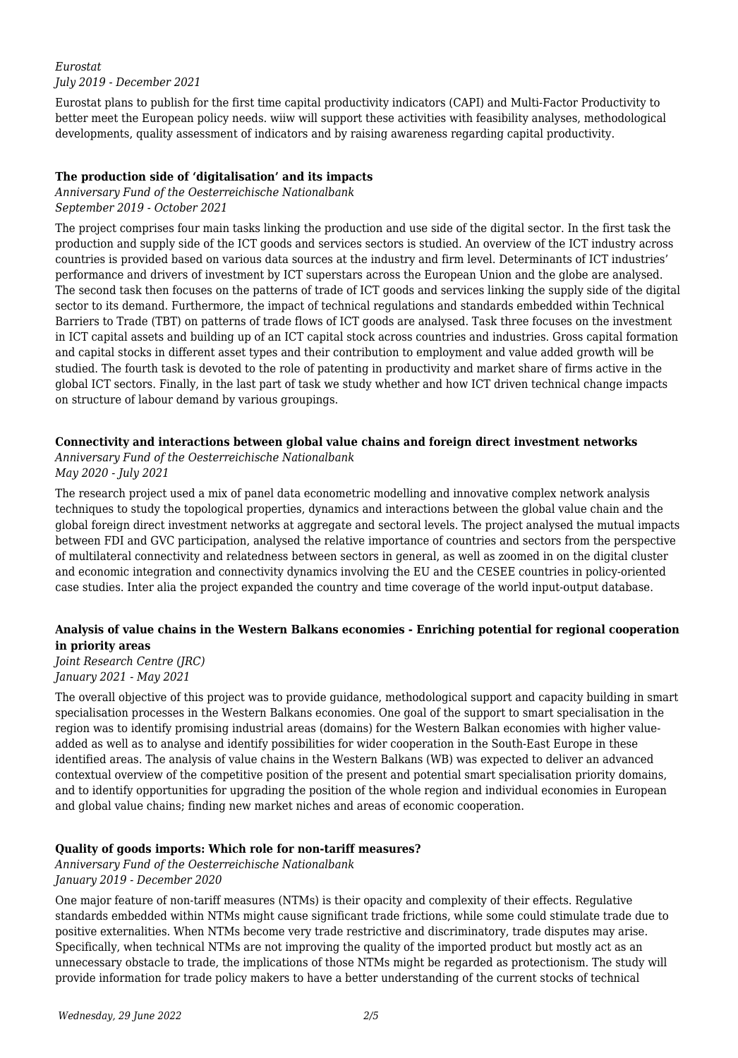#### *Eurostat July 2019 - December 2021*

Eurostat plans to publish for the first time capital productivity indicators (CAPI) and Multi-Factor Productivity to better meet the European policy needs. wiiw will support these activities with feasibility analyses, methodological developments, quality assessment of indicators and by raising awareness regarding capital productivity.

#### **The production side of 'digitalisation' and its impacts**

*Anniversary Fund of the Oesterreichische Nationalbank September 2019 - October 2021*

The project comprises four main tasks linking the production and use side of the digital sector. In the first task the production and supply side of the ICT goods and services sectors is studied. An overview of the ICT industry across countries is provided based on various data sources at the industry and firm level. Determinants of ICT industries' performance and drivers of investment by ICT superstars across the European Union and the globe are analysed. The second task then focuses on the patterns of trade of ICT goods and services linking the supply side of the digital sector to its demand. Furthermore, the impact of technical regulations and standards embedded within Technical Barriers to Trade (TBT) on patterns of trade flows of ICT goods are analysed. Task three focuses on the investment in ICT capital assets and building up of an ICT capital stock across countries and industries. Gross capital formation and capital stocks in different asset types and their contribution to employment and value added growth will be studied. The fourth task is devoted to the role of patenting in productivity and market share of firms active in the global ICT sectors. Finally, in the last part of task we study whether and how ICT driven technical change impacts on structure of labour demand by various groupings.

# **Connectivity and interactions between global value chains and foreign direct investment networks**

*Anniversary Fund of the Oesterreichische Nationalbank May 2020 - July 2021*

The research project used a mix of panel data econometric modelling and innovative complex network analysis techniques to study the topological properties, dynamics and interactions between the global value chain and the global foreign direct investment networks at aggregate and sectoral levels. The project analysed the mutual impacts between FDI and GVC participation, analysed the relative importance of countries and sectors from the perspective of multilateral connectivity and relatedness between sectors in general, as well as zoomed in on the digital cluster and economic integration and connectivity dynamics involving the EU and the CESEE countries in policy-oriented case studies. Inter alia the project expanded the country and time coverage of the world input-output database.

# **Analysis of value chains in the Western Balkans economies - Enriching potential for regional cooperation in priority areas**

*Joint Research Centre (JRC) January 2021 - May 2021*

The overall objective of this project was to provide guidance, methodological support and capacity building in smart specialisation processes in the Western Balkans economies. One goal of the support to smart specialisation in the region was to identify promising industrial areas (domains) for the Western Balkan economies with higher valueadded as well as to analyse and identify possibilities for wider cooperation in the South-East Europe in these identified areas. The analysis of value chains in the Western Balkans (WB) was expected to deliver an advanced contextual overview of the competitive position of the present and potential smart specialisation priority domains, and to identify opportunities for upgrading the position of the whole region and individual economies in European and global value chains; finding new market niches and areas of economic cooperation.

# **Quality of goods imports: Which role for non-tariff measures?**

*Anniversary Fund of the Oesterreichische Nationalbank January 2019 - December 2020*

One major feature of non-tariff measures (NTMs) is their opacity and complexity of their effects. Regulative standards embedded within NTMs might cause significant trade frictions, while some could stimulate trade due to positive externalities. When NTMs become very trade restrictive and discriminatory, trade disputes may arise. Specifically, when technical NTMs are not improving the quality of the imported product but mostly act as an unnecessary obstacle to trade, the implications of those NTMs might be regarded as protectionism. The study will provide information for trade policy makers to have a better understanding of the current stocks of technical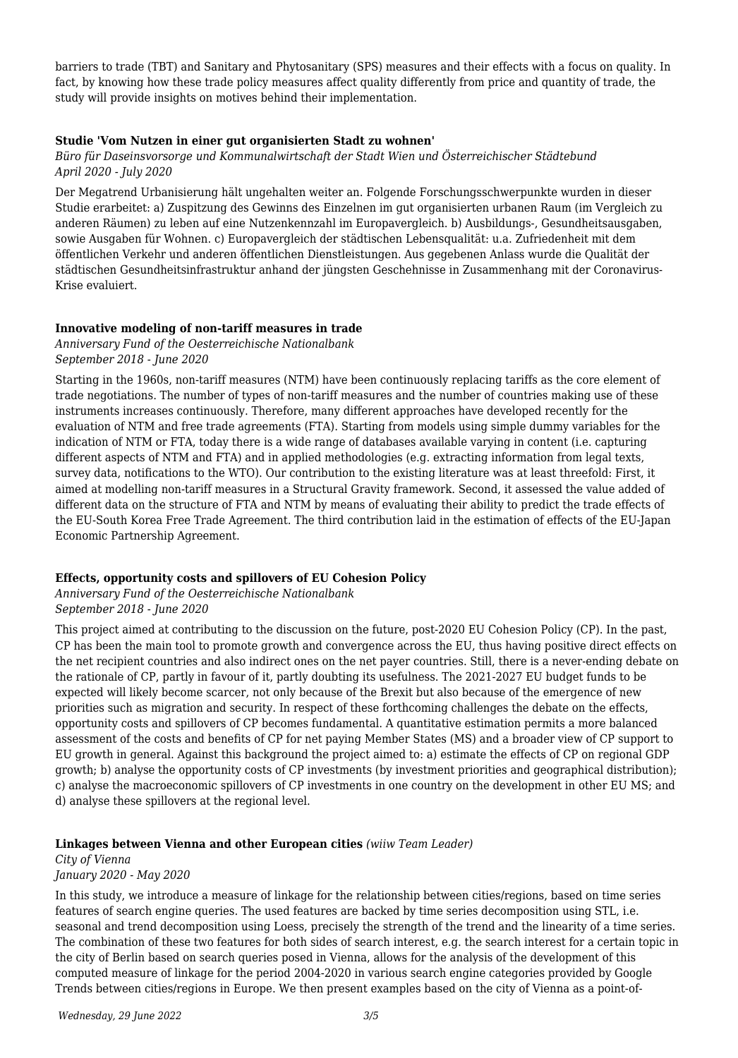barriers to trade (TBT) and Sanitary and Phytosanitary (SPS) measures and their effects with a focus on quality. In fact, by knowing how these trade policy measures affect quality differently from price and quantity of trade, the study will provide insights on motives behind their implementation.

#### **Studie 'Vom Nutzen in einer gut organisierten Stadt zu wohnen'**

#### *Büro für Daseinsvorsorge und Kommunalwirtschaft der Stadt Wien und Österreichischer Städtebund April 2020 - July 2020*

Der Megatrend Urbanisierung hält ungehalten weiter an. Folgende Forschungsschwerpunkte wurden in dieser Studie erarbeitet: a) Zuspitzung des Gewinns des Einzelnen im gut organisierten urbanen Raum (im Vergleich zu anderen Räumen) zu leben auf eine Nutzenkennzahl im Europavergleich. b) Ausbildungs-, Gesundheitsausgaben, sowie Ausgaben für Wohnen. c) Europavergleich der städtischen Lebensqualität: u.a. Zufriedenheit mit dem öffentlichen Verkehr und anderen öffentlichen Dienstleistungen. Aus gegebenen Anlass wurde die Qualität der städtischen Gesundheitsinfrastruktur anhand der jüngsten Geschehnisse in Zusammenhang mit der Coronavirus-Krise evaluiert.

#### **Innovative modeling of non-tariff measures in trade**

*Anniversary Fund of the Oesterreichische Nationalbank September 2018 - June 2020*

Starting in the 1960s, non-tariff measures (NTM) have been continuously replacing tariffs as the core element of trade negotiations. The number of types of non-tariff measures and the number of countries making use of these instruments increases continuously. Therefore, many different approaches have developed recently for the evaluation of NTM and free trade agreements (FTA). Starting from models using simple dummy variables for the indication of NTM or FTA, today there is a wide range of databases available varying in content (i.e. capturing different aspects of NTM and FTA) and in applied methodologies (e.g. extracting information from legal texts, survey data, notifications to the WTO). Our contribution to the existing literature was at least threefold: First, it aimed at modelling non-tariff measures in a Structural Gravity framework. Second, it assessed the value added of different data on the structure of FTA and NTM by means of evaluating their ability to predict the trade effects of the EU-South Korea Free Trade Agreement. The third contribution laid in the estimation of effects of the EU-Japan Economic Partnership Agreement.

#### **Effects, opportunity costs and spillovers of EU Cohesion Policy**

*Anniversary Fund of the Oesterreichische Nationalbank September 2018 - June 2020*

This project aimed at contributing to the discussion on the future, post-2020 EU Cohesion Policy (CP). In the past, CP has been the main tool to promote growth and convergence across the EU, thus having positive direct effects on the net recipient countries and also indirect ones on the net payer countries. Still, there is a never-ending debate on the rationale of CP, partly in favour of it, partly doubting its usefulness. The 2021-2027 EU budget funds to be expected will likely become scarcer, not only because of the Brexit but also because of the emergence of new priorities such as migration and security. In respect of these forthcoming challenges the debate on the effects, opportunity costs and spillovers of CP becomes fundamental. A quantitative estimation permits a more balanced assessment of the costs and benefits of CP for net paying Member States (MS) and a broader view of CP support to EU growth in general. Against this background the project aimed to: a) estimate the effects of CP on regional GDP growth; b) analyse the opportunity costs of CP investments (by investment priorities and geographical distribution); c) analyse the macroeconomic spillovers of CP investments in one country on the development in other EU MS; and d) analyse these spillovers at the regional level.

#### **Linkages between Vienna and other European cities** *(wiiw Team Leader)*

# *City of Vienna*

# *January 2020 - May 2020*

In this study, we introduce a measure of linkage for the relationship between cities/regions, based on time series features of search engine queries. The used features are backed by time series decomposition using STL, i.e. seasonal and trend decomposition using Loess, precisely the strength of the trend and the linearity of a time series. The combination of these two features for both sides of search interest, e.g. the search interest for a certain topic in the city of Berlin based on search queries posed in Vienna, allows for the analysis of the development of this computed measure of linkage for the period 2004-2020 in various search engine categories provided by Google Trends between cities/regions in Europe. We then present examples based on the city of Vienna as a point-of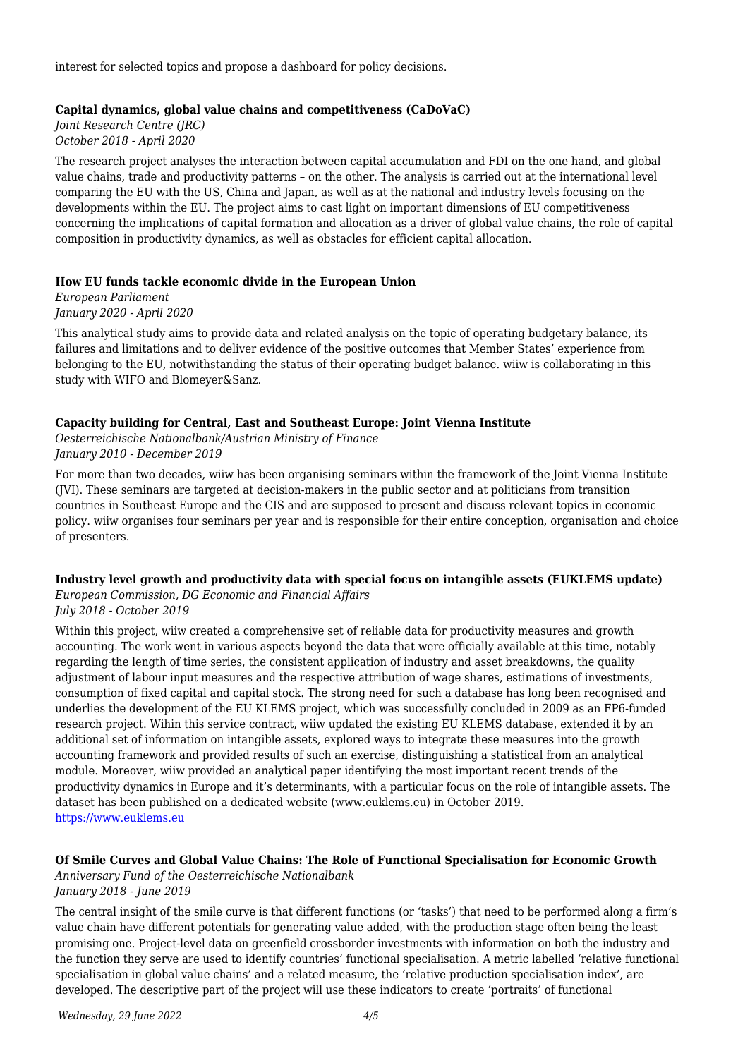interest for selected topics and propose a dashboard for policy decisions.

#### **Capital dynamics, global value chains and competitiveness (CaDoVaC)**

*Joint Research Centre (JRC) October 2018 - April 2020*

The research project analyses the interaction between capital accumulation and FDI on the one hand, and global value chains, trade and productivity patterns – on the other. The analysis is carried out at the international level comparing the EU with the US, China and Japan, as well as at the national and industry levels focusing on the developments within the EU. The project aims to cast light on important dimensions of EU competitiveness concerning the implications of capital formation and allocation as a driver of global value chains, the role of capital composition in productivity dynamics, as well as obstacles for efficient capital allocation.

#### **How EU funds tackle economic divide in the European Union**

*European Parliament January 2020 - April 2020*

This analytical study aims to provide data and related analysis on the topic of operating budgetary balance, its failures and limitations and to deliver evidence of the positive outcomes that Member States' experience from belonging to the EU, notwithstanding the status of their operating budget balance. wiiw is collaborating in this study with WIFO and Blomeyer&Sanz.

#### **Capacity building for Central, East and Southeast Europe: Joint Vienna Institute**

*Oesterreichische Nationalbank/Austrian Ministry of Finance January 2010 - December 2019*

For more than two decades, wiiw has been organising seminars within the framework of the Joint Vienna Institute (JVI). These seminars are targeted at decision-makers in the public sector and at politicians from transition countries in Southeast Europe and the CIS and are supposed to present and discuss relevant topics in economic policy. wiiw organises four seminars per year and is responsible for their entire conception, organisation and choice of presenters.

#### **Industry level growth and productivity data with special focus on intangible assets (EUKLEMS update)**

*European Commission, DG Economic and Financial Affairs July 2018 - October 2019*

Within this project, wiiw created a comprehensive set of reliable data for productivity measures and growth accounting. The work went in various aspects beyond the data that were officially available at this time, notably regarding the length of time series, the consistent application of industry and asset breakdowns, the quality adjustment of labour input measures and the respective attribution of wage shares, estimations of investments, consumption of fixed capital and capital stock. The strong need for such a database has long been recognised and underlies the development of the EU KLEMS project, which was successfully concluded in 2009 as an FP6-funded research project. Wihin this service contract, wiiw updated the existing EU KLEMS database, extended it by an additional set of information on intangible assets, explored ways to integrate these measures into the growth accounting framework and provided results of such an exercise, distinguishing a statistical from an analytical module. Moreover, wiiw provided an analytical paper identifying the most important recent trends of the productivity dynamics in Europe and it's determinants, with a particular focus on the role of intangible assets. The dataset has been published on a dedicated website (www.euklems.eu) in October 2019. <https://www.euklems.eu>

#### **Of Smile Curves and Global Value Chains: The Role of Functional Specialisation for Economic Growth** *Anniversary Fund of the Oesterreichische Nationalbank*

*January 2018 - June 2019*

The central insight of the smile curve is that different functions (or 'tasks') that need to be performed along a firm's value chain have different potentials for generating value added, with the production stage often being the least promising one. Project-level data on greenfield crossborder investments with information on both the industry and the function they serve are used to identify countries' functional specialisation. A metric labelled 'relative functional specialisation in global value chains' and a related measure, the 'relative production specialisation index', are developed. The descriptive part of the project will use these indicators to create 'portraits' of functional